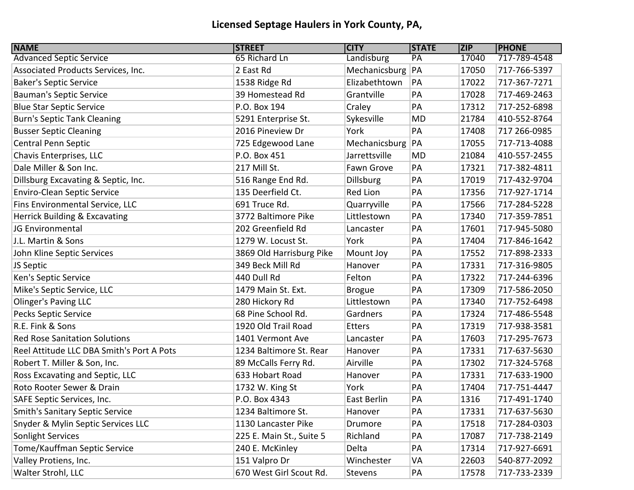## **Licensed Septage Haulers in York County, PA,**

| <b>NAME</b>                               | <b>STREET</b>            | <b>CITY</b>        | <b>STATE</b> | <b>ZIP</b> | <b>PHONE</b> |
|-------------------------------------------|--------------------------|--------------------|--------------|------------|--------------|
| <b>Advanced Septic Service</b>            | 65 Richard Ln            | Landisburg         | PA           | 17040      | 717-789-4548 |
| Associated Products Services, Inc.        | 2 East Rd                | Mechanicsburg   PA |              | 17050      | 717-766-5397 |
| <b>Baker's Septic Service</b>             | 1538 Ridge Rd            | Elizabethtown      | PA           | 17022      | 717-367-7271 |
| <b>Bauman's Septic Service</b>            | 39 Homestead Rd          | Grantville         | PA           | 17028      | 717-469-2463 |
| <b>Blue Star Septic Service</b>           | P.O. Box 194             | Craley             | PA           | 17312      | 717-252-6898 |
| <b>Burn's Septic Tank Cleaning</b>        | 5291 Enterprise St.      | Sykesville         | MD           | 21784      | 410-552-8764 |
| <b>Busser Septic Cleaning</b>             | 2016 Pineview Dr         | York               | PA           | 17408      | 717 266-0985 |
| Central Penn Septic                       | 725 Edgewood Lane        | Mechanicsburg      | PA           | 17055      | 717-713-4088 |
| Chavis Enterprises, LLC                   | P.O. Box 451             | Jarrettsville      | MD           | 21084      | 410-557-2455 |
| Dale Miller & Son Inc.                    | 217 Mill St.             | Fawn Grove         | PA           | 17321      | 717-382-4811 |
| Dillsburg Excavating & Septic, Inc.       | 516 Range End Rd.        | <b>Dillsburg</b>   | PA           | 17019      | 717-432-9704 |
| <b>Enviro-Clean Septic Service</b>        | 135 Deerfield Ct.        | Red Lion           | PA           | 17356      | 717-927-1714 |
| Fins Environmental Service, LLC           | 691 Truce Rd.            | Quarryville        | PA           | 17566      | 717-284-5228 |
| Herrick Building & Excavating             | 3772 Baltimore Pike      | Littlestown        | PA           | 17340      | 717-359-7851 |
| JG Environmental                          | 202 Greenfield Rd        | Lancaster          | PA           | 17601      | 717-945-5080 |
| J.L. Martin & Sons                        | 1279 W. Locust St.       | York               | PA           | 17404      | 717-846-1642 |
| John Kline Septic Services                | 3869 Old Harrisburg Pike | Mount Joy          | PA           | 17552      | 717-898-2333 |
| JS Septic                                 | 349 Beck Mill Rd         | Hanover            | PA           | 17331      | 717-316-9805 |
| Ken's Septic Service                      | 440 Dull Rd              | Felton             | PA           | 17322      | 717-244-6396 |
| Mike's Septic Service, LLC                | 1479 Main St. Ext.       | <b>Brogue</b>      | PA           | 17309      | 717-586-2050 |
| <b>Olinger's Paving LLC</b>               | 280 Hickory Rd           | Littlestown        | PA           | 17340      | 717-752-6498 |
| <b>Pecks Septic Service</b>               | 68 Pine School Rd.       | Gardners           | PA           | 17324      | 717-486-5548 |
| R.E. Fink & Sons                          | 1920 Old Trail Road      | <b>Etters</b>      | PA           | 17319      | 717-938-3581 |
| <b>Red Rose Sanitation Solutions</b>      | 1401 Vermont Ave         | Lancaster          | PA           | 17603      | 717-295-7673 |
| Reel Attitude LLC DBA Smith's Port A Pots | 1234 Baltimore St. Rear  | Hanover            | PA           | 17331      | 717-637-5630 |
| Robert T. Miller & Son, Inc.              | 89 McCalls Ferry Rd.     | Airville           | PA           | 17302      | 717-324-5768 |
| Ross Excavating and Septic, LLC           | 633 Hobart Road          | Hanover            | PA           | 17331      | 717-633-1900 |
| Roto Rooter Sewer & Drain                 | 1732 W. King St          | York               | PA           | 17404      | 717-751-4447 |
| SAFE Septic Services, Inc.                | P.O. Box 4343            | East Berlin        | PA           | 1316       | 717-491-1740 |
| <b>Smith's Sanitary Septic Service</b>    | 1234 Baltimore St.       | Hanover            | PA           | 17331      | 717-637-5630 |
| Snyder & Mylin Septic Services LLC        | 1130 Lancaster Pike      | Drumore            | PA           | 17518      | 717-284-0303 |
| Sonlight Services                         | 225 E. Main St., Suite 5 | Richland           | PA           | 17087      | 717-738-2149 |
| Tome/Kauffman Septic Service              | 240 E. McKinley          | Delta              | PA           | 17314      | 717-927-6691 |
| Valley Protiens, Inc.                     | 151 Valpro Dr            | Winchester         | VA           | 22603      | 540-877-2092 |
| Walter Strohl, LLC                        | 670 West Girl Scout Rd.  | Stevens            | PA           | 17578      | 717-733-2339 |